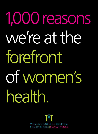# 1,000 reasons we're at the forefront of women's health.

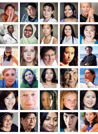













CO

















X





















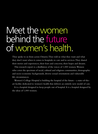# Meet the women behind the future of women's health.

They spoke to us from across Ontario. They told us what they want and what they don't want when it comes to hospitals, to care and to services. They shared their stories and experiences, their fears and concerns, their hopes and dreams.

This research report is a distillation of the voices of 1,000 women. Women who cover the spectrum of racial, cultural and religious communities, demographic and socio-economic backgrounds, diverse sexual orientations and vulnerable life circumstances.

Women's College Hospital is building the hospital of the future – a state-of-theart facility dedicated to women's health that delivers an entirely new model of care.

It is a hospital designed to keep people out of hospital. It is a hospital designed by the ideas of 1,000 women.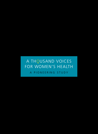## A THQUSAND VOICES FOR WOMEN'S HEALTH

A PIONEERING STUDY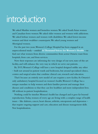# introduction

We asked Muslim women and homeless women. We asked South Asian women and Canadian-born women. We asked older women and women with addictions. We asked lesbian women and women with disabilities. We asked lower-income women and their wealthier counterparts. We asked young women and Aboriginal women.

For the past two years, Women's College Hospital has been engaged in an unprecedented study – entitled **A Thousand Voices for Women's Health** – to find out what women from diverse communities from across Ontario want from hospitals, from care, and from services.

Now their responses are informing the very design of our new, state-of-the-art facility, and will enhance the very way in which we serve our patients.

By 2015, Women's College will have a new hospital designed unlike any other – built not around in-patient wards and bedrooms, but around specialized clinics, centres and surgical suites that combine clinical care, research and education.

That's because an entirely new model of care requires a new facility. As Ontario's only ambulatory hospital focused on women's health, Women's College has a unique mandate: to help women and their families prevent and manage their diseases and conditions so that they can live healthier and more independent lives. All without in-patient hospitalization.

Nothing could be timelier. Women's health has changed and it goes far beyond reproduction. Today, women of every age are living with a complex range of health issues – like diabetes, cancer, heart disease, arthritis, osteoporosis and depression – that require ongoing support and care, education and disease management skills. Not hospitalization.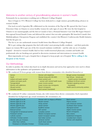#### Welcome to another century of groundbreaking advances in women's health.

Fortunately for us, innovation is nothing new to Women's College Hospital.

Since it began in 1911, Women's College has been dedicated to a single mission: groundbreaking advances in women's health.

Our track record is legendary. We collaborated on the invention of the Pap test. We opened the first Cancer Detection Clinic in Ontario to screen healthy women for early signs of cancer. We were the first hospital in Ontario to use mammography and the first in Canada to have a Perinatal Intensive Care Unit. We began Ontario's first regional Sexual Assault Centre and delivered the nation's first test-tube quintuplets. We launched Canada's first Multidisciplinary Osteoporosis Program and established the country's first Women's Cardiovascular Health Initiative. And the list goes on.

The fact is, no one understands women's health better than Women's College Hospital.

We've got cutting-edge programs that deal with today's most pressing health conditions – and their particular impact on women. We've got one of the few research institutes worldwide – and the only one at a Canadian hospital – devoted to women's health. And we have world-renowned physicians, scientists and health-care professionals who are breaking new ground in discoveries, treatment and interventions in women's health.

Most importantly, we've got a hospital that is designed to keep people out of hospital. **We're calling it the Hospital of the Future.**

#### Our Methodology

In order to produce the richest data based on in-depth discussion and survey, four approaches were used to obtain information in this qualitative and quantitative study.

**1)** We conducted 25 focus groups with women from diverse communities who identified themselves as:

| <b>Seniors</b>          | Women with disabilities         | Bengali women (translated)      |
|-------------------------|---------------------------------|---------------------------------|
| Youth                   | Women living with HIV-AIDS      | East African - Somali and       |
| Lesbian and queer women | Street workers and              | Swahili women (translated)      |
| Lesbian and queer youth | women with mental health issues | Caribbean & African women       |
| Transgendered           | Lower income women              | Mandarin-speaking women         |
| Women with addictions   | Lower income new immigrants     | (translated)                    |
| Abused women            | Recent immigrants               | Health-care & community workers |
| Homeless women          | Tamil women (translated)        |                                 |

**2)** We conducted 35 online community forums, also with women from diverse communities. Each respondent identified her background, age, sexual orientation, life circumstance, etc.

| Women aged 15 to 24              | Women with no religious affiliation | <b>Black women</b>            |
|----------------------------------|-------------------------------------|-------------------------------|
| Women aged 25 to 44              | Muslim women                        | Filipino women                |
| Women aged 45 to 64              | Hindu women                         | Latin American women          |
| Women aged 65 plus               | Jewish women                        | Southeast Asian women         |
| Lesbian & queer women            | <b>Buddhist women</b>               | Aboriginal women              |
| Bisexual women                   | Sikh women                          | Higher income women           |
| Transgender & transsexual women  | Canadian women                      | Recent immigrants             |
| Protestant women                 | Western European women              | New citizens                  |
| Catholic women                   | Eastern European women              | <b>Established immigrants</b> |
| Orthodox Christian women         | East Indian women                   | Canadian-born citizens        |
| Women who are Christians         | Jamaican women                      | Women with disabilities       |
| other than Catholic,             | South Asian women                   |                               |
| Protestant or Orthodox Christian | Chinese women                       |                               |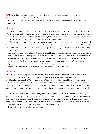- **3)** We asked for and received letters of perspective from community-based organizations and leaders.
- **4)** We conducted 1,500 telephone and online surveys with a representative sample of women from across Ontario and Canada (only Ontario results are reported here). The qualitative results helped to inform the quantitative survey.

#### This Report

This report is presented in two parts. The first, entitled *What Women Want – From a Hospital, From Services, and From Care*, is a distillation of women's responses to questions concerning their perceptions of and experiences with health care to date, and their sense of what an ideal hospital might be. The second section, *How We're Responding*, is a brief overview of how Women's College Hospital is addressing many of the issues raised.

A few things to note. First, where possible, quotes by women from focus groups and online surveys are provided. In most cases, we've also identified the background or group to which the particular woman belongs. However, due to length constraints, not all findings of all groups are reported here. Our goal is to be illustrative of major themes, not exhaustive.

Second, no question was asked about Women's College Hospital specifically. Our sole purpose was to investigate women's views in general with regard to health care. We did not seek feedback on particular hospitals or providers.

Finally, this report is in no way meant to be definitive, nor the final word on women's needs. Rather, it is intended to begin the dialogue that is most necessary if providers are to respond to women's health-care realities and priorities in a meaningful way. And it is just the start. In fact, we are asking women to provide continuous input and feedback through our dedicated site www.womenshealthmatters.ca/1000women.

#### Thank You

Many community-based organizations, representing women from diverse communities, were instrumental in connecting us with the women we wanted to speak with most. Without these community groups, this project would not have been possible. We owe a great deal of thanks for your help, your guidance, and your support.

We are indebted, of course, to the women who took the time to share their stories – their experiences and their perceptions, their anxieties and fears, their hopes and their dreams. These remarkable women offered honest, sometimes painful, often inspiring input that is invaluable for enabling us to create the patient experience that all women deserve.

We asked, and you answered. Now it is our job to listen. The good news is that we are already responding to women's needs in very real and innovative ways. Yet there is always more to do. And while there are many questions, one thing is clear. Our goal is to fully integrate women's diverse needs into every aspect of our hospital – from patient experience to cultural competencies, from staff training and education to appraisal and evaluation systems, from research and programming to knowledge translation and exchange.

It is a challenge we are proud to embark upon.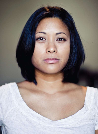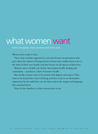## what women want

from a hospital, from services and from care.

Women have made it clear.

They want a holistic approach to care that focuses on prevention, that gives them the option of being treated at home, that enables them to be at the helm of their own health, and that focuses on all aspects of their lives.

Women want a health-care facility that inspires health, healing and community – and that is a hub of women's health.

But mostly, women want to be treated with dignity and respect. They want to be heard, they want to belong, and they want to see themselves represented by the staff who care for them and in the images and languages that surround them.

Here, by the numbers, is what women have to say.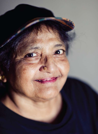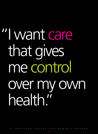"I want care that gives me control over my own health."

A T H O U S A N D V O I C E S F O R W O M E N ' S H E A L T H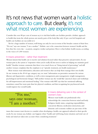### It's not news that women want a holistic approach to care. But clearly, it's not what most women are experiencing.

Consider this: over 88 per cent of women say it is vital that health-care facilities provide a holistic approach to health that treats the whole person, not merely parts of the body. But only 43 per cent feel hospitals and health-care facilities are successful at it.

Yet for a huge number of women, well-being can only be seen in terms of the broader context of their lives. "Fix me," says one woman, "I am a mother." Holistic care is the connection between women's health and the lives they live every day – as parent, caregiver, worker and partner. Here is what holistic health means, according to the voices of 1,000 women:

#### It means prevention – rather than treatment:

Women lament that health care is reactive and solution-focused rather than proactive and preventive. As one woman puts it, the system is "responsive when you're really ill, but next to useless in helping me maintain good health." Another woman comments that there is too much focus on "fixing instead of preventing," and still another woman complains that the emphasis is on "episodic treatment, not health maintenance."

Most women want information, education and resources that can help them manage their own health. As one woman in the 45-64 age category says, we want "information on preventive measures for various illnesses and degenerative conditions, as well as stress management, pain management, weight management, psychological and hormonal changes." Still another woman says she would like "practical classes and workshops for self-improvement and emotional healing." One woman with HIV says that her emotional suffering sometimes caused her more pain than her physical condition, and that recognizing her psychosocial needs would improve her overall health.

"Fix me," says one woman, "I am a mother."

#### It means delivering care in the context of women's lives:

Women want health-care professionals who acknowledge the connection between mind and body. Religion, family status, caregiving responsibilities, concurrent illnesses, medication interactions, and domestic and economic realities are just some of the

issues that women want doctors to consider when developing a health-care approach tailored to their specific needs. As one woman says, holistic care happens when "health and well-being, home situation and total care of body and mind are taken into account when considering treatment."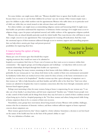For some, holistic care might mean child care. "Women shouldn't have to ignore their health-care needs because there is no one to care for their children for an hour," says one woman. Other women simply want a space for children to play while mothers wait for appointments. Women who suffer abuse are in particular need of child care while they are tested, treated or take relevant classes and workshops.

For others, holistic care might mean accommodating religious custom and honouring belief. It might mean that health-care providers understand the importance of abstinence before marriage. Or it might mean access to religious clergy, a space for prayer and spiritual renewal, and visible evidence of the appropriate religious symbols.

Women who are abused identify particular needs for whole health. They want doctors who will listen to more than a single concern in one appointment. They want programs for weaning off medications. And they want the emotional aspects of their treatment addressed through access to mentors, support and counselling programs

that can help relieve anxiety, give hope and present practical possibilities for improving their lives.

#### It means having the option of being treated at home:

Ninety per cent of women agree that should they require ongoing treatment, they would not want to be admitted to

hospital as an in-patient. And close to 94 per cent of women say they want access to resources within their communities – like support groups, survivorship programs and workshops – to help them with recovery and maintain relationships developed through their health-care experiences.

It's not surprising. For many women, remaining in their homes with their children and families is far preferable. As one woman puts it, "one always feels better in the comfort of their own environment surrounded by familiarity. Unless there are medical services that cannot be done at home, or the home environment is not tenable, I see no reason to be hospitalized." Another woman says that a great advantage of outpatient care is that women are "able to help themselves and their families and still be able to live their lives." And even when women are admitted to hospital, they want to maintain connections after they leave through community and/or Internet-based support groups.

Perhaps most interesting is that, for many women, being at home is empowering. As one woman says, "I can take care of my family, I can sleep better, and feel more empowered." Another says, "I think if more people were to take control of their health and do things from home they may feel more in control of their condition instead of just being up in a bed in a hospital preparing to die." For these women and others, being treated while living at home empowers them to be co-creators of their own recovery.

Nonetheless, some groups have reservations about being treated at home. Women with mobility challenges, women who live in situations of domestic violence, and those without sufficient support at home expressed concern about outpatient care.

Most women agreed, however, that "choice might be a better solution. Sometimes a decision is not best based on the nature of the health issue but on the basis of the patient's ability to cope."

The very definition of holistic care.

### "My name is Josie. Not HIV."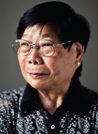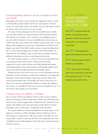#### It means enabling women to be the co-creators of their own health:

Amazingly, only 30 per cent of women feel empowered when it comes to their health and their health care. Yet the vast majority of women want to be at the helm of their own health. "Give me the options and let me decide what is best for me," says one woman.

For many women, taking part in their own health means a healthcare team that includes not only practitioners, but the patient herself. The ideal for one woman is to be "treated as the intelligent person I am, and really be listened to because I probably know more about my health issues than some of them do." Another young woman says, "I want things clearly explained to me and my confirmation is needed that I'm happy to go ahead." And still for other women, it means breaking down the "us versus them paradigm that can often exist within health-care environments." According to many women, they are simply not given sufficient information or time to make important decisions.

For many women, acting as co-creator also means being empowered to manage prevention and recovery at home. It means being empowered to take control of their own health through knowledge and understanding of issues and treatments, and through supports and services provided by health professionals and health centres.

Playing an active role in their own care is not for all groups, however. Homeless women, for instance, say they lack confidence in looking after themselves. Some express feelings of insecurity and fear. Others feel poorly educated about their own health, and seem to have more of a desire to be cared for and guided by health-care experts. According to one woman, "we shouldn't be the bosses of our own health" because "we don't know what's going on in our bodies."

#### It means a focus on wellness, not illness:

For too many women, the medical world too often focuses on illness rather than healing, on disease rather than wellness and well-being. One lower-income woman suggests that a hospital must be "founded on the premise that health is more than just fixing a body's illness; it's about providing a sense of well-being – healing the body and spirit."

For a great number of women, healing does not always equate to the fixing of a wound or an illness. Healing is about wholeness, and it is about living as a whole person. "My name is Josie. Not HIV," says one woman. Josie cannot be cured, but that does not compromise her sense of healing because healing happens when body, heart, mind and soul are treated in concert.

#### BY THE NUMBERS: WHAT WOMEN WANT FROM HOLISTIC CARE

Over 88% say that health-care facilities must provide a holistic approach to health that treats the whole person, not merely parts of the body.

Only 43% feel hospitals and health-care facilities are doing it well.

90% want the option of being treated as an outpatient.

94% want access to resources within their community to help them with recovery, yet only  $70\%$  feel hospitals are successful at this.

15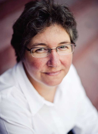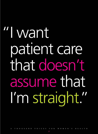# "I want patient care that doesn't assume that I'm straight."

A T H O U S A N D V O I C E S F O R W O M E N ' S H E A L T H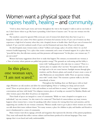### Women want a physical space that inspires health, healing – and community.

"I feel so alone. And it gets worse and worse throughout the visit to the hospital. I walk in and no one looks at me. I don't know where to go. My heart is pounding. I don't know if anyone cares." So says one woman over the age of 65.

The numbers cannot be ignored. Fifty-seven per cent of women feel afraid when they have to go to a hospital or health-care centre. Over three-quarters of women feel anxious. In fact, 47 per cent of women say they experience a high level of anxiety when they visit a hospital, doctor or health clinic. And 45 per cent of women feel isolated, 47 per cent feel confused, nearly 63 per cent feel frustrated and more than 28 per cent feel angry.

An ideal hospital, many women insist, is about "wellness and energy, a place of activity where we can feel women's health happening." It is a place that creates community and a sense of mutual support. It is a place that is "peaceful but alive, that alleviates anxiety, and that promotes self-improvement." In this place, one woman says, "I am not scared."

Women had many suggestions about how to make that happen. The entrance, recommends one woman, is a "hive of activity where patients are pulled into positive energy." The grounds are welcoming and the lobby is

In this place, one woman says, "I am not scared." warm with "smiling greeters who take time to connect." There is a "private place to explain why I am here." Reception desks are not too high and so do not create barriers. Sunlight streams through glass windows, and live flowers, plants, and sounds of water create a sense of calm. Washrooms are immediately visible. There are spacious waiting areas with "comfy chairs." The moment a patient walks in, she feels immediately at home.

Throughout the building, there are fluid spaces with no hard

edges. Windows are tall, modern and allow for natural lighting. There is "nothing too sharp, and not much metal." There are private places to "relax and meditate, to read and listen to music," and to engage in "intimate conversations and time with family." For religious women, places of worship are essential. For Muslim, Hindu and other women, spaces that allow for privacy are imperative.

These kinds of spaces are integral to a sense of community. "While we want a hospital to recognize us as individuals," says one woman, "we also want to be connected." That kind of connectedness, say many women, happens when women have a venue for speaking with other women, for voicing their fears and anxieties, and for supporting one another. As one woman comments, "Women usually want to go to places where women are so they can talk about their issues without shame." For many women, a place for children to play and families and friends to meet is fundamental to a sense of community.

Many women want décor, signage, artwork and magazines that represent the diversity of the patient population. They want wall murals that reflect various cultures and brochures produced in relevant languages. They want signage that is icon-based and easily understandable.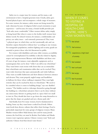Safety too is a major issue for women, and for many, a safe environment is how a hospital generates trust. Clearly, safety goes beyond physical space and encompasses a whole range of measures. For some women, for instance, safety means not being treated by male clinicians because of religious belief, sexual orientation or past experience – and because, for many, a female health provider just "feels safer, more comfortable." Other women define safety simply as being heard. But when it comes to the facility itself, women have distinct needs. For abused women, for instance, confidentiality and privacy are safety issues – and extremely pronounced. They want "a physical space in which they can feel emotionally safe, and can therefore express themselves without fear," according to one woman. For transgender populations, outdoor lighting and security guards are essential to protect those who feel threatened in public.

For women with disabilities and some older women, accessibility cannot be overemphasized. Accessibility is directly related to dignity, respect and empowerment. Women with disabilities and those over 65 years of age, for instance, want adjustable equipment, such as mammograms that can be done "while I am still in my wheelchair." They want better exam rooms with doors that can accommodate their wheelchairs and examination tables that can be reached. They want wider doorways that open automatically and wider hallways. They want accessible bathrooms and short distances between entrance and elevator. They want properly angled ramps and handlebars in hallways for those whose walking is impaired. They want light switches that can be reached by those in wheelchairs. "We need to be consulted when it comes to building design," says one disabled women. "The builder needs to videotape themselves going through the building in a wheelchair and prove that it can be done without any unnecessary detours or getting stuck in a space that's too small to turn in. They should also have to go down the ramp themselves to prove that the slopes are gradual and not a theme park ride."

And finally, food. For many women, food is fundamental to healing. Some say they want home-cooked local foods. Others want foods from diverse cultures that reflect their heritage. Food is particularly important for some groups of religious women. Many Muslim women follow Halal dietary laws and for many Jewish women, the food they eat must be Kosher. East Indian and Hindu women want vegetarian options. Chinese women want "fresh and authentic Chinese food that doesn't taste frozen."

#### B Y T H E N U M B E R S : When it comes to visiting a hospital or health-care centre, here's how women feel:

57% feel afraid

 $76\%$  feel anxious

- 47 % experience a high level of anxiety
- $45\%$  feel isolated
- 47% feel confused
- $28\%$  feel angry
- 63% feel frustrated
- 30% feel empowered

19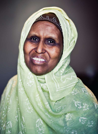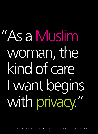# "As a Muslim woman, the kind of care I want begins with privacy."

A T H O U S A N D V O I C E S F O R W O M E N ' S H E A L T H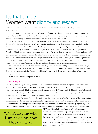## It's that simple. Women want dignity and respect.

Virtually all women – 96 per cent of them – want care that comes without judgment, categorization or preconceptions.

In most cases, they're getting it. Almost 70 per cent of women say they feel respected by those providing their care. And close to 80 per cent of women feel taken care of when they are accessing health-care services. Many women speak very highly of their experiences with quality care and a caring staff.

"Whenever I have been in need of any health care I have always received good care," says one woman over the age of 65. "At times there may have been a bit of a wait but never was there a time when I was in jeopardy." A woman with a physical disability says she has "only met kind and caring medical professionals who have a clear understanding of my disabilities, limitations and options." One Sikh woman describes staff as "compassionate, friendly and kind" and a Jamaican woman describes the care she received as "patient, accommodating and maternal." One Canadian-born woman contends that while "there have been hiccups, even those were dealt with in a caring way." A Chinese woman remarks that the care provided to her was "top-notch." And a Jewish woman says that the care "exceeded my expectations. The surgeon was personable and took time to talk to my spouse before and after surgery." She also says that "nursing was efficient and kind. I felt all hospital staff cared about me."

Yet that leaves nearly a third of women who say they often feel disrespected by health-care staff. According to findings, it is women across all ages, all racial and cultural backgrounds, vulnerable life circumstances, women with disabilities and women suffering from chronic illness who are most likely to report perceptions of inequity and feelings of exclusion.

Here are the issues women point to most:

#### "Don't judge me"

One young woman says she feels judged for "having a baby before what society feels is proper" and would have liked support from health-care professionals. A woman with HIV remarks, "I feel like I've committed a crime." Many bisexual women feel judged because of their choices or lifestyle. Women aged 15-24 ask for non-judgmental sexual health education, confidentiality, and emotional support – particularly around pregnancy. And still another woman says, "Don't assume who I am based on how I look or talk."

Women with addictions and those who suffer abuse fear being negatively labelled because of their presentation and circumstances (for instance, they might not have a permanent phone number or address and are poorly dressed). Women with HIV recount painful stories of physical and emotional isolation. "Don't put a stop sign on my door," says one woman with HIV, "and don't walk into waiting rooms and announce I have HIV." Another woman with

"Don't assume who I am based on how I look or talk."

HIV says, "Don't judge me. Know that I got here through horrible conditions of abuse, rape, war, poverty." One lesbian woman says that "I have had mostly negative experiences in hospitals, mainly with wait times and doctors not listening to me. As someone who has had a mental problem in the past, I feel they judge me immediately because of this and do not leave me a chance to explain myself."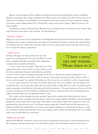Women in the Aboriginal, Chinese, Filipino, Southeast Asian, South Asian, East Indian, Eastern and Western European communities share similar sentiments. One Hindu woman, for example, says, "They tell you who you are. There is no such thing as your self-dignity." An Aboriginal woman used a string of words to explain her feelings: "No power, condescending, sadness, fear." A South Asian woman sums it up in a phrase. "What we need is to be treated equally."

One Jamaican woman commented that, "We don't want to feel like because we're black we don't matter." And a Latin American woman puts it very succinctly: "No discrimination."

#### "Diversity matters"

Eighty per cent of women want a hospital that is knowledgeable about the needs of women from diverse cultures, and puts practices in place to address those needs. But it's not just those from diverse cultures who expressed those views. Women born in Canada believe that the health-care system already reflects their needs; they insist the focus be on women from diverse communities.

#### "Listen to me"

Feelings of disrespect are often rooted in the sense that women are not being heard. In fact, just two-thirds of women believe hospitals and health-care facilities offer collaborative communication to patients and families.

"I have a story," says one woman. "Please listen to it."

 "I have a story," says one woman. "Please listen to it." The feeling among some women is that, too often, staff do not take the time to understand the patient and address her individual

concerns. "Listen to what I'm telling you and give me the time to talk; don't be hurried and dismissive," says another woman. "Address me by name," insists one woman. "Remember my history and don't make me tell it to you over and over again," says another. Still another says "look me in the eyes and talk to me like a human being."

As one young woman says, "I've had a few fantastic doctors and a few not so fantastic. The non-fantastic ones I would describe as such because they didn't take my needs seriously or didn't listen very well." A woman from the lesbian community claimed that she's had both good and bad experiences. "The good experiences have been for the most part with doctors and other health-care professionals. The poor experiences have been predominantly from support staff and health-care tech (ultrasound, blood, x-rays)."

One woman says that though doctors are generally "good at the technical side of their jobs, they lack the personal skills necessary in dealing with their patients. There isn't enough empathy. I feel like I'm just being pushed through the system." Some other women agree. One Chinese woman laments that "most employees are nice and professional, but some just don't care." One Hindu woman remarks that "overall I have had OK experiences in a hospital or health clinic setting. There are of course some negative experiences as well but that has been as a result of a combination of bad client/customer service (not ending up with a health-care professional who I was satisfied with) versus overall health-care system flaws."

#### "Make me feel safe"

Women from different communities tend to feel anxious and afraid for reasons specific to their backgrounds and life circumstances. Young women aged 15-24, for instance, claim to feel a tremendous amount of fear when it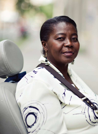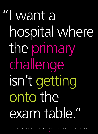# "I want a hospital where the primary challenge isn't getting onto the exam table."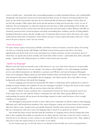comes to health issues – particularly those surrounding pregnancy, sexually transmitted diseases, and confidentiality. Transgender and transsexual women fear for their physical safety because of a history of being assaulted by men. Some are also afraid of procedures that they do not understand, like the Pap smear. Filipino women often do not feel safe enough to fully express their needs and ask questions, in large part because they can be "in awe of authority." Recent immigrants can often feel unsafe because they have so little understanding of the health-care system. Some lower-income women don't feel safe because they don't feel equal to others. Women with HIV are extremely anxious because of misconceptions and myths surrounding their condition, and fear of being publicly humiliated. Homeless women describe a fragile sense of emotional safety because of low self-esteem and a deep embarrassment about their circumstances. Some lesbian and queer women express discomfort with men. "I don't want to be put to sleep by a man," says one woman.

#### "Give me privacy"

For many women, respect means privacy. Muslim and lesbian women, for instance, want the option of receiving care from an exclusively female staff. Muslim and Hindu women bemoan gowns that fail to cover them appropriately, and ask for head covers in the operating room. Lesbian and queer women want private spaces in which they can openly discuss their sexuality and sexual safety. Other women – particularly those from vulnerable groups – lament the lack of physical spaces in which to discuss their issues privately.

#### "Speak my language"

Women across the board are intensely aware of the barriers to care, even when those barriers do not personally impact them. Cultural barriers are one example. For instance, when English is a not a first language, translation services and cultural interpreters are identified as a primary need. Western and eastern European, Aboriginal, Latin, recent immigrant, Filipino, Jamaican, East Indian, Southeast Asian and South Asian women – all request not only interpreters, but posters and pamphlets that are language- and culture-specific, décor that reflects various backgrounds, and clinicians who speak their language.

Access to language goes beyond mere practicality. The failure to understand, and be understood, is central to feelings of anxiety, isolation and confusion. As one new immigrant remarked, "Going to the doctor in this country is very stressful. No one helps us. We are nervous about what they will tell us."

Similarly, a Chinese woman comments that "communication between the doctor and patient may be one of the major issues, not only with the Chinese community but with other ethnic groups. With the lack of understanding, the patient will not possess the knowledge required to make sound decisions or have enough confidence to ask questions."

One Aboriginal woman points out that, at times, elders in her community are afraid to admit to their language difficulties and could benefit from translators. One eastern European woman says because those in her community often have thick accents, "people tend to get quickly frustrated." Another Latin woman stresses, "having doctors that can communicate with you in your own language helps so much (I can speak for my mom!)."

One South East Asian woman describes both the frustration of a language barrier and the feelings that result from it. She complains that health-care providers do not always take the extra time to hear her stories, or listen to what she has to say. "Because we have caution on our minds. We have to make our sentences first. Then explain it. They have to have the mind to listen to us. To realize we are afraid."

As one woman sums up, "we feel safe when we are listened to. You feel like you can let your guard down."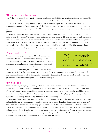#### "Understand where I come from"

 Here's the good news: 60 per cent of women say that health-care facilities and hospitals are indeed knowledgeable about cultural sensitivities and have put practices into place to help address these sensitivities.

Yet for many, this isn't happening enough. Women 65 and over report ageist attitudes characterized by inappropriate comments. As one woman says, "I feel that women 65 and older are being swept under the carpet as people that have lived long enough and should expect these types of illnesses at this age. In other words, put out to pasture!"

How well staff understand cultural and economic diversity – in terms of realities, customs and practices – is a major priority for women. One black woman, for instance, says she wants health-care providers to understand racial issues and poverty. Some Chinese women want staff to know important Chinese holidays. And many transgender and transsexual women want their health-care providers to understand that their identification might not reflect their gender. As one lower-income woman says, in an ideal hospital "all the staff would be fully educated about women's concerns including same-sex relationships, poverty, and single parenting."

#### "Know my diseases"

Women from diverse groups want health professionals who understand diseases and conditions that are unique to or disproportionately individual cultures and groups – and are able to diagnose, treat and educate women about them. Aboriginal women, for instance, want clinicians to understand diabetes, alcoholism, and depression. Jamaican women want preventive

"Queer friendly doesn't just mean a rainbow sticker."

approaches to sickle cell anemia. Women with HIV want physicians who understand neuropathy and specific drug interactions and their side-effects. Transgender communities (both male to female and female to male) want care providers to have expertise in hepatitis C and hormone therapies.

#### "Let me belong"

For many women, belonging means being reflected in the health-care system. For a great number of women from racially and culturally diverse communities, food, décor, reading materials and staffing models are indicative of how well women are represented in the system. As one black woman says, her ideal hospital would be a place where "members of staff are black so they can relate to my concerns." Similarly, Aboriginal women agree that representation in staffing models is very important to their community.

Lesbian and queer women want a hospital that does not assume heterosexuality. One woman says she gets "sick and tired of having to come out everywhere I go and having to worry about how I might be treated by doctors." Some want health professionals to use language like "spouse and partner rather than husband." And still others want diverse staff that reflects their community. Mostly, women want acceptance that runs deep and to the core of culture and operations. "Queer friendly," says one woman, "doesn't just mean a rainbow sticker." It means same-sex partners treated the same way as family members. It means privacy to openly discuss sexuality. It means staff at every level is educated about how to best communicate with women from this community.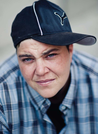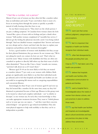#### "I feel like a number, not a person"

Almost 65 per cent of women say they often feel like a number rather than an individual, and nearly 70 per cent believe there is more of a focus on moving them through the system as quickly as possible – instead of really hearing what they have to say.

As one black woman put it, "They don't see the whole person. I am just a walking symptom." A Canadian-born woman claims she feels "treated like a piece of meat with no feelings and just a dumb obese woman." Still another woman complained of "assembly line service. I did not get the feeling the physician sincerely cared. I was being rushed through." And one disabled woman complained that "doctors and nurses are very abrupt and in a hurry and don't take the time to explain your symptoms and problems and the treatment thoroughly."

In fact, a good number of women with disabilities feel that, except for their physical limitations, they go unseen. As one woman says, "We're not asking for much: eye contact, hi, how are you? That's what we need the most." Many women with disabilities feel they are often not consulted or spoken to directly. Still others say that their sense of self is often diminished. "Treat me like I have a brain," remarks one woman, "and don't talk about me as if I wasn't there."

Women aged 35-44 are far more likely to feel they are treated as a number (almost 77 per cent), as are women with children. Both groups are significantly more likely to say that their individual needs go unheard, and to feel that hospitals and health-care facilities are not successful in recognizing life stresses such as caregiving responsibilities and concurrent illnesses.

Interestingly, less than 50 per cent of women aged 65 and over say they feel treated like a number. At the same time, many say they feel dismissed or patronized because of their age. Women in this group want to be treated as valued and complete individuals – not "as elderly or decrepit," as one woman says. As such, they want knowledge so they can make appropriate treatment decisions. They want to "forbid phrases such as 'at your age you can expect…'" and they want their concerns acknowledged – not ignored as age-related inevitabilities. They also want physical supports to help with mobility so that they can be as independent as possible.

#### B Y T H E N U M B E R S : WOMEN WANT **DIGNITY** AND RESPECT

96% want care that comes without judgment, categorization, or preconceptions.

 $97\%$  feel it is important that hospitals or health-care facilities recognize their individual needs.

36% often feel disrespected by the people providing their care.

Close to  $80\%$  feel taken care of by health-care providers.

 $65\%$  believe that hospitals and health-care facilities offer collaborative communication to patients and families.

80% want a hospital that is knowledgeable about the needs of women from diverse cultures, and puts practices in place to address those needs.

 $60\%$  say that health-care facilities and hospitals are knowledgeable about cultural sensitivities and have put practices into place to help address these sensitivities.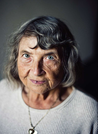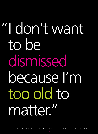# "I don't want to be dismissed because I'm too old to matter."

A T H O U S A N D V O I C E S F O R W O M E N ' S H E A L T H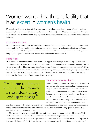## Women want a health-care facility that is an expert in women's health.

It's unequivocal: More than 8 out of 10 women want a hospital that specializes in women's health – and that understands how women want to receive and experience their care (nearly 82 per cent of women with chronic illness believe a facility of this kind is very important). What exactly does that mean to women? Here's what they had to say:

#### It's all about the care:

According to most women, superior knowledge in women's health means better prevention and treatment and better standards of care – and it equips staff to ask the right questions that lead to the right diagnoses. As one woman puts it, a facility that specializes in women's health means "there is likely a better understanding of what I'm going through and a staff that sees it more often and can offer relevant advice."

#### It's life-long:

Many women indicate the need for a hospital that can support them through the many stages of their lives. As one woman remarked, a hospital must accommodate women in various phases and circumstances of their lives – "single or married, in childbirth, taking care of a parent and child, work stress, sex and peri-menopause." Others agree. Those who are nearing menopause, for instance, want guidance and understanding as they deal with what can often be a very difficult time in a woman's life. "Once past the fertile period," says one woman, "help us understand the changes our bodies are going through as we age."

"Help me understand where all the resources are so I don't always end up in emerg."

#### It's about a "one-stop shop":

A full 90 per cent of women say they want a hospital that acts as a hub of women's health and that includes testing, diagnosis, treatment, followup and support. For most, a one-stop shop ensures more comprehensive health care because everyone talks to one another – and that saves time for the patient, money for the system, and missed days of work. As one woman puts it, "We need a healthcare team that comes from a variety of disciplines in

one clinic that can work collectively to resolve a woman's health issues." One older woman says that she misses having "someone with experience with joints and bones, a cardiac specialist, a lung specialist, a dietitian and exercise instructor…" – all under one roof.

Moreover, women see a women's facility as a "safe haven where they can express the full extent of their needs." One woman underscores the point. "I've struggled with fertility problems and have been bounced around from one office to another, seeing a variety of doctors, none of whom looks at me as a whole person. A health-care facility specifically designed for women provides a much-needed model of comprehensive care."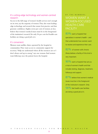#### It's cutting-edge technology and women-centred research:

Access to the full range of women's health services isn't enough on its own, say the majority of women. They also want leadingedge technology and research that ensure best practice and that generate confidence. Eighty-seven per cent of women, in fact, believe that women's medical issues must be in the foreground of the institution's research. Yet only 56 per cent feel health-care facilities are doing a good job at it.

#### It's convenient:

Women want satellite clinics operated by the hospital in communities. They want access to community support for recovery. "Help me understand where all the resources are so I don't always end up in emerg," says one woman. And women want followup once the patient leaves the hospital.

#### BY THE NUMBERS: women want a women-focused health-care **FACILITY**

83% want a hospital that specializes in women's health – and that understands how women want to receive and experience their care.

82% of women with chronic illness believe a facility of this kind is very important.

90% want a hospital that acts as a hub of women's health and that includes testing, diagnosis, treatment, followup and support.

87% believe that women's medical issues must be in the foreground of the institution's research. Only 56% feel health-care facilities are doing a good job at it.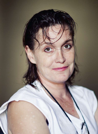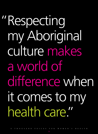"Respecting my Aboriginal culture makes a world of difference when it comes to my health care."

A T H O U S A N D V O I C E S F O R W O M E N ' S H E A L T H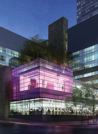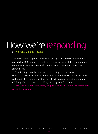# How we're responding

at Women's College Hospital.

The breadth and depth of information, insight and ideas shared by these remarkable 1000 women are helping us create a hospital that is even more responsive to women's needs, circumstances and realities than we have always been.

The findings have been invaluable in telling us what we are doing right. They have been equally essential for identifying gaps that need to be addressed. This section provides a very brief overview of just some of our thinking when it comes to building the hospital of the future.

For Ontario's only ambulatory hospital dedicated to women's health, this is just the beginning.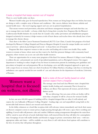#### Create a hospital that keeps women out of hospital

There is a new health reality out there.

Women's health today goes far beyond reproduction. Now, women are living longer than ever before, but many are doing so with a complex array of diseases and conditions – like cancers, diabetes, heart disease, arthritis and mental health issues – that need ongoing support and care, not in-patient hospitalization.

That means women need prevention, education and disease management strategies and tools that they can use to manage their own health – at home, while they're living their everyday lives. Programs like the Women's Cardiovascular Health Initiative do exactly that. As Canada's only cardiac prevention and rehabilitation program designed exclusively for women, it helps women at risk of heart disease and teaches those who already have it how to manage this chronic disease.

Then there is the After Cancer Treatment Transitional (ACTT) Care Clinic, Canada's first program of its kind developed by Women's College Hospital and Princess Margaret Hospital. It treats the unique health-care needs of cancer survivors – physical, psychological and social – to keep them out of hospital.

Programs like these empower women to take an active and leading role in their own health. They enable women to remain at home, where most say they want to be. And they promote linkages with community-based programs, where women can access care and other health resources.

There are opportunities for so many more programs of this kind. For instance, Women's College is now looking to address the pre- and postnatal care needs of specialized populations, such as Aboriginal women. Our surgery department is working to reduce length of stay for breast reconstruction patients by instituting new guidelines and procedures in hospital care and preparation. We are developing a new and fully integrated approach to sport care with a major focus on women. And, our chief of medicine Dr. Gillian Hawker, is heading a task force to develop the ambulatory care capacity needed for new models of care and education for the department of medicine, University of Toronto.

Women want a hospital that is focused on wellness, not illness.

#### Build a state-of-the-art facility based on what women expect from a hospital

The message came loud and clear. Women want a hospital that inspires health, healing and community. That is focused on wellness, not illness. That represents all women, and all of their distinct needs.

We are delivering. Our new, state-of-the-art facility will be more than a hospital. It will be a beacon for women's health.

In fact, our new 600,000-square-ft. building will be a hospital designed like no other. It will embody and express the very hallmarks of Women's College Hospital – leading-edge care and unparalleled caring built on the inextricable link between clinical care research and education.

In the lobby, volunteers at a hotel-like reception desk will welcome visitors immediately and check their names on discreet computer screens to ensure privacy. Light pouring through glass will create a space that is soothing and uplifting. Curved walls will promote calm and comfort. Different seating arrangements throughout the main floor will be varied to meet all sorts of needs. Individual chairs, well removed from the fray, will allow for contemplative time. Groupings of seats will enable families and friends to engage in private conversation. Kids' areas – with sizeappropriate tables and chairs – will be available on every floor. A café with diverse food options will contribute to the hive of activity that will pulsate throughout.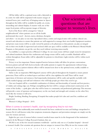Off the lobby will be a spiritual room with a labyrinth in its centre. Its walls will be imprinted with massive images of textured leaves, just a small way of bringing nature in. Spaces throughout the lobby will be available for public art, events, storytelling and cultural displays. A massive wall, one of the major focal points, will incorporate images of diversity.

Our scientists ask questions that are unique to women's lives.

neighbourhoods" where patients can see all the health professionals they need – doctors, nurses, dietitians, therapists

Each of the floors will be arranged in "clinical

and others – in one place at one time. Specialized clinics, centres and surgical suites will combine clinical care, research and education to ensure that patients are well-supported to manage their own health. Equipment monitors and private exam rooms will be as easily viewed by patients as by physicians so that patients can play an integral role in their own health. A supervised and enclosed child care space will be available in the Women's Mental Health Program, so that patients can get the care they need without worrying unnecessarily.

Accessibility is a major priority at Women's College. So our exam rooms will have ample room for interpreters and cultural translators. Barrier-free washrooms and change rooms will be easily accessible. Handrails will be evident throughout. Exam tables will be adjustable for patients in wheelchairs. Light switches will be within reach of everyone.

Privacy is no less important. Nature-inspired barriers between desks will allow for private conversations between patient and staff. Self check-in kiosks will enable patients to register for appointments without being overheard. A privacy/patient relations officer will be situated next door to the spiritual room, readily available to discuss patient concerns.

Safety is also an imperative. Well-disguised cameras will be placed throughout the hospital to ensure patient protection. There will be no isolated spaces and there will be clear sightlines for staff. There will be visual supervision of elevators and entrances. And importantly, destinations will be easily and quickly reachable with clearly marked signage, and staff and volunteers who will help people get where they need to go.

Our new hospital will be a wonderful combination of whimsy and functionality, of warmth and best practice, of vitality and cutting-edge care. Perhaps exemplifying this best will be a unique architectural construction at the centre of the facility – a pink glass cube that will be home to community and professional gatherings. This structure will provide a sense of openness and transparency on the one hand, and strength and certainty on the other. Very much like the women it will serve.

Bright. Soothing. Bustling. Energizing. A hospital that makes people feel calm and cared for, confident and empowered.

Women's College Hospital – 2015.

#### When it comes to women's health, start by recognizing they're not men

Sounds obvious. But traditionally, most medical research has been conducted on men and findings extrapolated to women. Yet it's well-known today that symptoms, treatments, diagnoses and prevention strategies are simply not the same for women and men.

Eight-five per cent of women believe women's medical issues must be in the foreground of the institution's research. At the Women's College Research Institute, they are.

WCRI is one of the few research institutes worldwide – and the only one at a Canadian hospital – devoted to women's health. Our scientists ask questions that are unique to women's lives. Why do too few women with

A T H O U S A N D V O I C E S F O R W O M E N ' S H E A L T H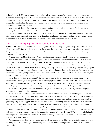diabetes breastfeed? Why aren't women having joint replacement surgery as often as men – even though they are three times more likely to need it? Why are lower-income women more apt to die from diabetes than their wealthier counterparts? How can older women manage multiple medications more safely? How can women with HIV who want to have families find the support and care they need? How do poverty, violence and discrimination affect women's health and access to care?

Our research is dedicated to understanding women's unique health needs at every stage of their lives and to exploring their complex health needs in the context of their lives.

Yet it's not enough. We need to know more. More about why conditions – like depression or multiple sclerosis – affect women more frequently than men. More about how conditions – like arthritis or heart disease – affect women differently than men. More about how those conditions impact women at all stages of their lives.

#### Create cutting-edge programs that respond to women's needs

Women made clear to us what they want most. Programs that are "one-stop." Programs that put women at the centre of their own health. Programs that treat women throughout their lives. Programs that are convenient and accessible. Programs that, at their core, address the mind as well as body. And above all, programs that are based on leading-edge technology and best practice.

Canada's first-ever Multidisciplinary Osteoporosis Program is a case in point. It's a one-stop approach to care for women who want to slow down the progress of the disease, and for those who want to reduce their chances of developing it. It takes into account the priorities, needs and choices of each patient and offers them access to a full team of specially trained professionals all at the same time. Physicians, pharmacists, physical therapists, occupational therapists, dietitians and clinical nurse specialists, along with the patient, collaboratively develop a personalized program. In other words, the program exemplifies an interprofessional model of care that puts the patient at the centre, respects her treatment decisions, and provides choice. Our renowned Bay Centre for Birth Control also has one-stop care, and invites all women with or without health cards.

Then there is our diabetes program. It's the only one in Canada that prevents and treats diabetes at every stage of a woman's life. That might mean specialized treatment for pregnant women with Type 1 diabetes. Or education for women with gestational diabetes, because the statistics tell the story: almost 20 per cent of women who get diabetes while they're pregnant will go on to develop Type 2 diabetes. And we have a Mid-Life Program that helps women with Type 2 diabetes manage the disease as their bodies change. Now we're developing a diabetes prevention program for women with polycystic ovarian syndrome.

We're also increasingly focusing on convenience. In order to address our Trauma Therapy Program wait list, for instance, we established an orientation meeting for new referrals. An interdisciplinary therapist team delivers a psychoeducational presentation about trauma therapy and helps clients determine their readiness for the program based on past therapy experiences, support and stability. Information about community resources is also provided so that clients can reach out to other support systems while on the wait list. This initiative is proving essential for helping women determine if Trauma Therapy is right for them, and in preventing time wasted if it isn't.

Understanding the psychological aspect of medical conditions is another priority. That's why a team of psychiatrists and social workers treat women living in the community – women who have diabetes, HIV, endocrinological disorders, chronic pain conditions and chronic illnesses. Now we're looking at web-based support groups to address the mental health needs of these women.

While programs like these have proven integral to helping women live healthier and more independent lives, they are no by means available enough. Our next step must be to disseminate findings across the province so all women can benefit.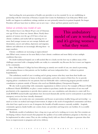And, teaching the next generation of health-care providers is no less essential. So we are establishing, in partnership with the University of Toronto, Canada's first Centre for Ambulatory Care Education. While most health care happens in ambulatory settings, students are now primarily trained in in-patient hospitals. No longer. Providers will now learn how to deliver care in new ways – where and how patients need it most.

#### Deliver an entirely new model of care

The numbers bear it out. Almost 80 per cent of Ontarians over age 45 have at least one chronic illness. Nearly threequarters of women over the age of 60 have at least one chronic condition, and nearly half are reporting two or more. And younger women are not exempt. Arthritis and rheumatism, cancers and asthma, depression and migraine, diabetes and addictions are increasingly affecting them – in major numbers.

This ambulatory model of care is working and it's giving women what they want.

Chronic conditions are increasing at unprecedented rates. What's more, women are far more likely to have chronic conditions and more likely to have multiple conditions than men.

No doubt traditional hospital care is still needed. But it is clearly not the best way to address many of the challenges associated with a changing health-care reality in a sustainable way. Because the fact is most care happens in the community.

Since 2006, Women's College has been delivering an entirely new model of care, one aimed at preventing and managing diseases so that patients can live healthier and more independent lives – without in-patient hospitalization.

This ambulatory model of care is working and it's giving women what they want from their health-care services: convenient treatment at home, in their communities, and in the context of their lives. So we provide ongoing phone consultations for our patients. And our Telehealth video conferencing program provides medical consultation to patients outside of Toronto who need our Multidisciplinary Osteoporosis Program.

We also work in partnership with community organizations to deliver services. For example at Women's Health in Women's Hands (WHIWH), we place a senior resident in psychiatry (under the supervision of our own staff psychiatrist) at the organization to provide direct patient care, case consultation, and education to centre staff. As a result, WHIWH mental health expenditures have decreased dramatically and the need to send patients to psychiatric emergency services has been virtually eliminated.

Ambulatory care reaches into our communities and focuses on prevention, healthy living and survivorship – as much as it does on medical and surgical intervention. It adapts to the needs of marginalized communities and those who don't have equal access to care. It integrates the breadth of health resources currently available – hospitals, community agencies, family health-care centres, home care providers and long-term care facilities. It is accessible and interactive.

Worldwide, models of ambulatory have a long way to go, and we're working on it every day. Our scientists are developing evidence-based research that pinpoints the qualities of successful ambulatory programs so that they can be implemented in other centres. They are also working closely with our clinical colleagues to generate ideas that focus on improvements to programs and service delivery.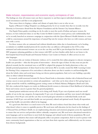#### Make inclusion, responsiveness and economic equity centrepieces of care

The findings are clear: all women want care that is responsive to and that respects individual identities, cultures and social circumstances and that is non-judgemental.

That comes down to forging a culture and climate of equity that is core to who we are.

Equity at Women's College Hospital is an abiding priority. So it's no wonder then that we recently won the Diversity in Governance Award from the Maytree Foundation and the Toronto City Summit Alliance.

Our Equity Vision guides everything we do. In order to meet the needs of lesbian and queer women, for instance, we have dedicated clinics at our Bay Centre for Birth Control to ensure privacy and confidentiality. And we've recently launched an awareness campaign in conjunction with the Queer Women's Health Initiative to create a shift in consciousness around the importance of annual Pap tests for women who have sex with women, and trans men with a cervix.

For those women who are uninsured and without identification (often due to homelessness), we're heading an initiative to establish standard protocols for ourselves that can influence all hospitals in the GTA so that uninsured and undocumented women can access the care they need. We've just developed the first-ever national HIV pregnancy planning guidelines so that women with HIV can have families safely. And we are home to the first hospital-based Sexual Assault and Domestic Violence Care Centre in Ontario. It offers services in over nine languages.

For women who are victims of domestic violence, we've created the first online program to educate emergency health-care providers – often the first point of intervention – about the signs of abuse. So they treat not just the physical wounds, but the emotional ones as well. We've adapted the program for family physicians so they can identify potential perpetrators of abuse based on key risk factors. We've recently created the RBC Learning Centre for Nursing. A key component of its curriculum is education about care that is sensitive to and knowledgeable about the beliefs, values and social issues facing our diverse patient population. And, we're now building a specialty clinic in ethno/cultural dermatology.

In research, world-renowned scientist Dr. Steven Narod looks to determine whether risk of inherited breast and ovarian cancers is more prevalent in certain sub-populations – and what can be done about it. He's giving hope to people around the world by establishing genetic testing centres in Poland, Pakistan, Philippines, Brazil and Cuba. He's also conducted the largest-ever study on Ashkenazi Jewish women to determine if their likelihood of inheriting breast and ovarian cancers is greater than the general population.

Annual patient satisfaction surveys tell us we're doing well. Nearly 95 per cent of patients rated our overall quality of care in the top categories. As importantly, 91 per cent of respondents said they were treated with dignity and respect. Over 80 per cent said the care they received paid great attention to individual family needs and situations. A full 95 per cent said their health care met personal, cultural and spiritual needs. Nearly all respondents agreed that health-care providers talked in lay language.

It's a good start. But there is so much more to be done. We need evidence-based data about what works and what doesn't when it comes to equitable practices. We need more staff education (in fact, based on the findings of *A Thousand Voices for Women's Health*, we are implementing education and awareness programs across the organization to ensure that our services and providers deliver culturally competent care). We need more educational materials in more languages, and we need them to meet both the language and cultural needs of diverse populations. We need human resource initiatives that ensure staff adequately reflect our patient composition. And we need to partner with more community-based organizations so that we can learn from their expertise and collaboratively care for women from diverse backgrounds.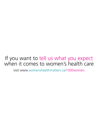### If you want to tell us what you expect when it comes to women's health care

visit www.womenshealthmatters.ca/1000women